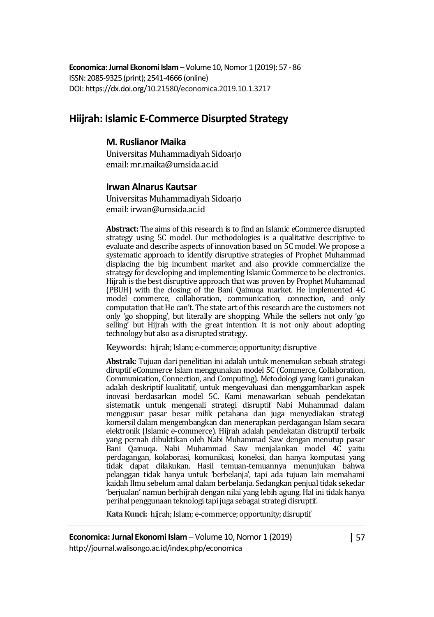**Economica: Jurnal Ekonomi Islam** – Volume 10, Nomor 1 (2019): 57 - 86 ISSN: 2085-9325 (print); 2541-4666 (online) DOI: https://dx.doi.org/10.21580/economica.2019.10.1.3217

# **Hiijrah: Islamic E-Commerce Disurpted Strategy**

#### **M. Ruslianor Maika**

Universitas Muhammadiyah Sidoarjo email: mr.maika@umsida.ac.id

#### **Irwan Alnarus Kautsar**

Universitas Muhammadiyah Sidoarjo email: irwan@umsida.ac.id

**Abstract:** The aims of this research is to find an Islamic eCommerce disrupted strategy using 5C model. Our methodologies is a qualitative descriptive to evaluate and describe aspects of innovation based on 5C model. We propose a systematic approach to identify disruptive strategies of Prophet Muhammad displacing the big incumbent market and also provide commercialize the strategy for developing and implementing Islamic Commerce to be electronics. Hijrah is the best disruptive approach that was proven by Prophet Muhammad (PBUH) with the closing of the Bani Qainuqa market. He implemented 4C model commerce, collaboration, communication, connection, and only computation that He can't. The state art of this research are the customers not only 'go shopping', but literally are shopping. While the sellers not only 'go selling' but Hijrah with the great intention. It is not only about adopting technology but also as a disrupted strategy.

**Keywords:** hijrah; Islam; e-commerce; opportunity; disruptive

**Abstrak**: Tujuan dari penelitian ini adalah untuk menemukan sebuah strategi diruptif eCommerce Islam menggunakan model 5C (Commerce, Collaboration, Communication, Connection, and Computing). Metodologi yang kami gunakan adalah deskriptif kualitatif, untuk mengevaluasi dan menggambarkan aspek inovasi berdasarkan model 5C. Kami menawarkan sebuah pendekatan sistematik untuk mengenali strategi disruptif Nabi Muhammad dalam menggusur pasar besar milik petahana dan juga menyediakan strategi komersil dalam mengembangkan dan menerapkan perdagangan Islam secara elektronik (Islamic e-commerce). Hijrah adalah pendekatan distruptif terbaik yang pernah dibuktikan oleh Nabi Muhammad Saw dengan menutup pasar Bani Qainuqa. Nabi Muhammad Saw menjalankan model 4C yaitu perdagangan, kolaborasi, komunikasi, koneksi, dan hanya komputasi yang tidak dapat dilakukan. Hasil temuan-temuannya menunjukan bahwa pelanggan tidak hanya untuk 'berbelanja', tapi ada tujuan lain memahami kaidah Ilmu sebelum amal dalam berbelanja. Sedangkan penjual tidak sekedar 'berjualan' namun berhijrah dengan nilai yang lebih agung. Hal ini tidak hanya perihal penggunaan teknologi tapi juga sebagai strategi disruptif.

**Kata Kunci:** hijrah; Islam; e-commerce; opportunity; disruptif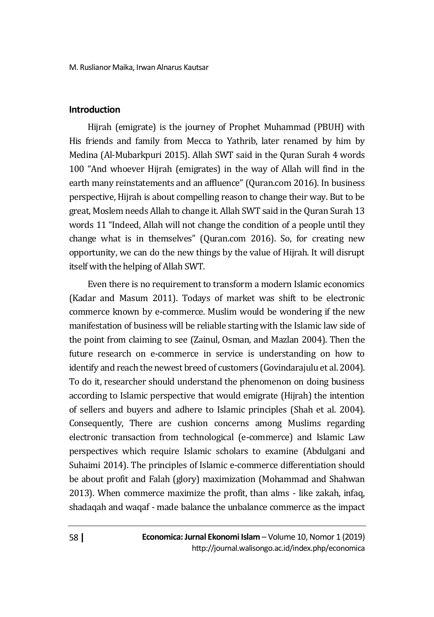#### **Introduction**

Hijrah (emigrate) is the journey of Prophet Muhammad (PBUH) with His friends and family from Mecca to Yathrib, later renamed by him by Medina (Al-Mubarkpuri 2015). Allah SWT said in the Quran Surah 4 words 100 "And whoever Hijrah (emigrates) in the way of Allah will find in the earth many reinstatements and an affluence" (Quran.com 2016). In business perspective, Hijrah is about compelling reason to change their way. But to be great, Moslem needs Allah to change it. Allah SWT said in the Quran Surah 13 words 11 "Indeed, Allah will not change the condition of a people until they change what is in themselves" (Quran.com 2016). So, for creating new opportunity, we can do the new things by the value of Hijrah. It will disrupt itself with the helping of Allah SWT.

Even there is no requirement to transform a modern Islamic economics (Kadar and Masum 2011). Todays of market was shift to be electronic commerce known by e-commerce. Muslim would be wondering if the new manifestation of business will be reliable starting with the Islamic law side of the point from claiming to see (Zainul, Osman, and Mazlan 2004). Then the future research on e-commerce in service is understanding on how to identify and reach the newest breed of customers (Govindarajulu et al. 2004). To do it, researcher should understand the phenomenon on doing business according to Islamic perspective that would emigrate (Hijrah) the intention of sellers and buyers and adhere to Islamic principles (Shah et al. 2004). Consequently, There are cushion concerns among Muslims regarding electronic transaction from technological (e-commerce) and Islamic Law perspectives which require Islamic scholars to examine (Abdulgani and Suhaimi 2014). The principles of Islamic e-commerce differentiation should be about profit and Falah (glory) maximization (Mohammad and Shahwan 2013). When commerce maximize the profit, than alms - like zakah, infaq, shadaqah and waqaf - made balance the unbalance commerce as the impact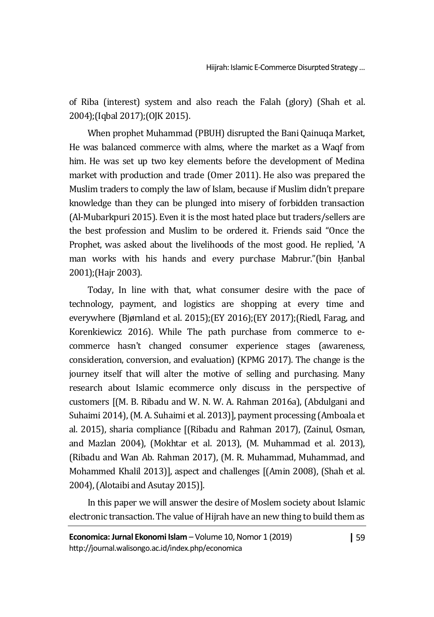of Riba (interest) system and also reach the Falah (glory) (Shah et al. 2004);(Iqbal 2017);(OJK 2015).

When prophet Muhammad (PBUH) disrupted the Bani Qainuqa Market, He was balanced commerce with alms, where the market as a Waqf from him. He was set up two key elements before the development of Medina market with production and trade (Omer 2011). He also was prepared the Muslim traders to comply the law of Islam, because if Muslim didn't prepare knowledge than they can be plunged into misery of forbidden transaction (Al-Mubarkpuri 2015). Even it is the most hated place but traders/sellers are the best profession and Muslim to be ordered it. Friends said "Once the Prophet, was asked about the livelihoods of the most good. He replied, 'A man works with his hands and every purchase Mabrur."(bin Ḥanbal 2001);(Hajr 2003).

Today, In line with that, what consumer desire with the pace of technology, payment, and logistics are shopping at every time and everywhere (Bjørnland et al. 2015);(EY 2016);(EY 2017);(Riedl, Farag, and Korenkiewicz 2016). While The path purchase from commerce to ecommerce hasn't changed consumer experience stages (awareness, consideration, conversion, and evaluation) (KPMG 2017). The change is the journey itself that will alter the motive of selling and purchasing. Many research about Islamic ecommerce only discuss in the perspective of customers [(M. B. Ribadu and W. N. W. A. Rahman 2016a), (Abdulgani and Suhaimi 2014), (M. A. Suhaimi et al. 2013)], payment processing (Amboala et al. 2015), sharia compliance [(Ribadu and Rahman 2017), (Zainul, Osman, and Mazlan 2004), (Mokhtar et al. 2013), (M. Muhammad et al. 2013), (Ribadu and Wan Ab. Rahman 2017), (M. R. Muhammad, Muhammad, and Mohammed Khalil 2013)], aspect and challenges [(Amin 2008), (Shah et al. 2004), (Alotaibi and Asutay 2015)].

In this paper we will answer the desire of Moslem society about Islamic electronic transaction. The value of Hijrah have an new thing to build them as

**|** 59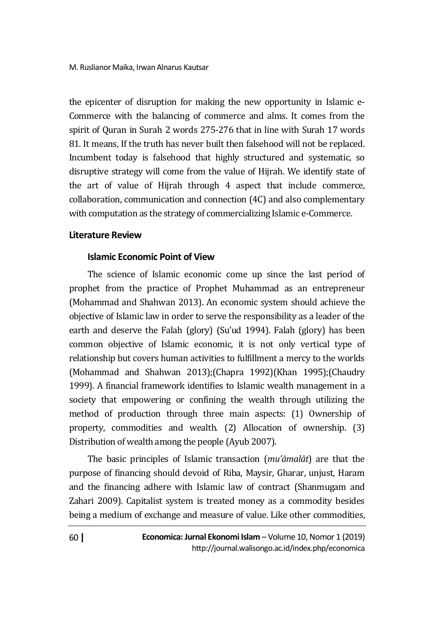the epicenter of disruption for making the new opportunity in Islamic e-Commerce with the balancing of commerce and alms. It comes from the spirit of Quran in Surah 2 words 275-276 that in line with Surah 17 words 81. It means, If the truth has never built then falsehood will not be replaced. Incumbent today is falsehood that highly structured and systematic, so disruptive strategy will come from the value of Hijrah. We identify state of the art of value of Hijrah through 4 aspect that include commerce, collaboration, communication and connection (4C) and also complementary with computation as the strategy of commercializing Islamic e-Commerce.

#### **Literature Review**

### **Islamic Economic Point of View**

The science of Islamic economic come up since the last period of prophet from the practice of Prophet Muhammad as an entrepreneur (Mohammad and Shahwan 2013). An economic system should achieve the objective of Islamic law in order to serve the responsibility as a leader of the earth and deserve the Falah (glory) (Su'ud 1994). Falah (glory) has been common objective of Islamic economic, it is not only vertical type of relationship but covers human activities to fulfillment a mercy to the worlds (Mohammad and Shahwan 2013);(Chapra 1992)(Khan 1995);(Chaudry 1999)*.* A financial framework identifies to Islamic wealth management in a society that empowering or confining the wealth through utilizing the method of production through three main aspects: (1) Ownership of property, commodities and wealth. (2) Allocation of ownership. (3) Distribution of wealth among the people (Ayub 2007).

The basic principles of Islamic transaction (*mu'āmalāt*) are that the purpose of financing should devoid of Riba, Maysir, Gharar, unjust, Haram and the financing adhere with Islamic law of contract (Shanmugam and Zahari 2009). Capitalist system is treated money as a commodity besides being a medium of exchange and measure of value. Like other commodities,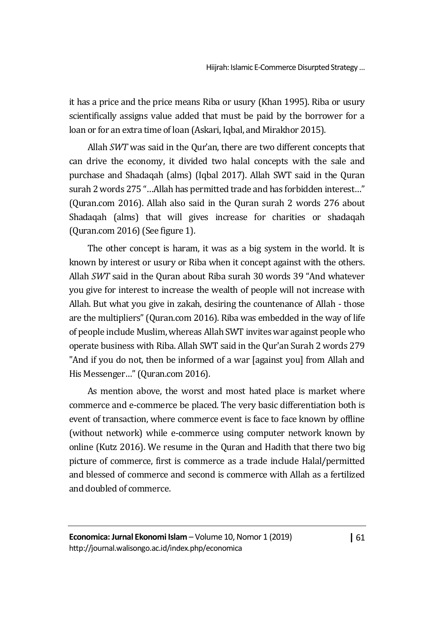it has a price and the price means Riba or usury (Khan 1995). Riba or usury scientifically assigns value added that must be paid by the borrower for a loan or for an extra time of loan (Askari, Iqbal, and Mirakhor 2015).

Allah *SWT* was said in the Qur'an, there are two different concepts that can drive the economy, it divided two halal concepts with the sale and purchase and Shadaqah (alms) (Iqbal 2017). Allah SWT said in the Quran surah 2 words 275 "…Allah has permitted trade and has forbidden interest…" (Quran.com 2016). Allah also said in the Quran surah 2 words 276 about Shadaqah (alms) that will gives increase for charities or shadaqah (Quran.com 2016)(See figure 1).

The other concept is haram, it was as a big system in the world. It is known by interest or usury or Riba when it concept against with the others. Allah *SWT* said in the Quran about Riba surah 30 words 39 "And whatever you give for interest to increase the wealth of people will not increase with Allah. But what you give in zakah, desiring the countenance of Allah - those are the multipliers" (Quran.com 2016). Riba was embedded in the way of life of people include Muslim, whereas Allah SWT invites war against people who operate business with Riba. Allah SWT said in the Qur'an Surah 2 words 279 "And if you do not, then be informed of a war [against you] from Allah and His Messenger…" (Quran.com 2016).

As mention above, the worst and most hated place is market where commerce and e-commerce be placed. The very basic differentiation both is event of transaction, where commerce event is face to face known by offline (without network) while e-commerce using computer network known by online (Kutz 2016). We resume in the Quran and Hadith that there two big picture of commerce, first is commerce as a trade include Halal/permitted and blessed of commerce and second is commerce with Allah as a fertilized and doubled of commerce.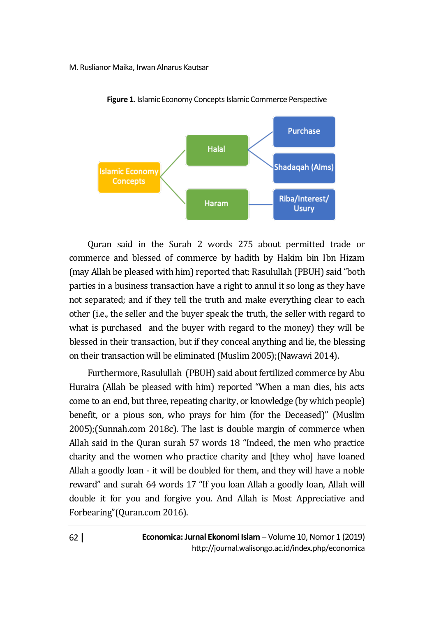

**Figure 1.** Islamic Economy Concepts Islamic Commerce Perspective

Quran said in the Surah 2 words 275 about permitted trade or commerce and blessed of commerce by hadith by Hakim bin Ibn Hizam (may Allah be pleased with him) reported that: Rasulullah (PBUH) said "both parties in a business transaction have a right to annul it so long as they have not separated; and if they tell the truth and make everything clear to each other (i.e., the seller and the buyer speak the truth, the seller with regard to what is purchased and the buyer with regard to the money) they will be blessed in their transaction, but if they conceal anything and lie, the blessing on their transaction will be eliminated (Muslim 2005);(Nawawi 2014).

Furthermore, Rasulullah (PBUH) said about fertilized commerce by Abu Huraira (Allah be pleased with him) reported "When a man dies, his acts come to an end, but three, repeating charity, or knowledge (by which people) benefit, or a pious son, who prays for him (for the Deceased)" (Muslim 2005);(Sunnah.com 2018c). The last is double margin of commerce when Allah said in the Quran surah 57 words 18 "Indeed, the men who practice charity and the women who practice charity and [they who] have loaned Allah a goodly loan - it will be doubled for them, and they will have a noble reward" and surah 64 words 17 "If you loan Allah a goodly loan, Allah will double it for you and forgive you. And Allah is Most Appreciative and Forbearing"(Quran.com 2016).

> **Economica: Jurnal Ekonomi Islam** – Volume 10, Nomor 1 (2019) http://journal.walisongo.ac.id/index.php/economica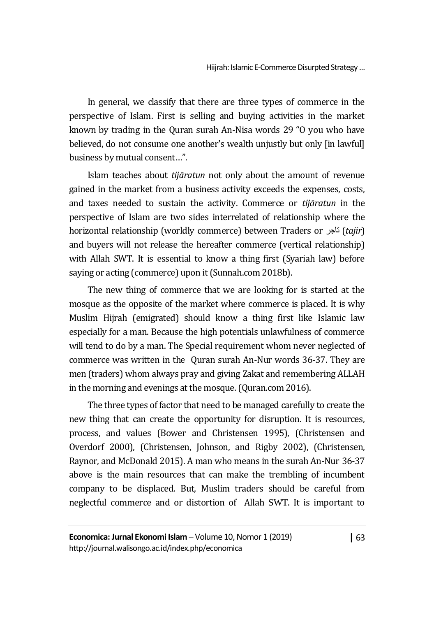In general, we classify that there are three types of commerce in the perspective of Islam. First is selling and buying activities in the market known by trading in the Quran surah An-Nisa words 29 "O you who have believed, do not consume one another's wealth unjustly but only [in lawful] business by mutual consent…".

Islam teaches about *tijāratun* not only about the amount of revenue gained in the market from a business activity exceeds the expenses, costs, and taxes needed to sustain the activity. Commerce or *tijāratun* in the perspective of Islam are two sides interrelated of relationship where the horizontal relationship (worldly commerce) between Traders or تاجر) *tajir*) and buyers will not release the hereafter commerce (vertical relationship) with Allah SWT. It is essential to know a thing first (Syariah law) before saying or acting (commerce) upon it (Sunnah.com 2018b).

The new thing of commerce that we are looking for is started at the mosque as the opposite of the market where commerce is placed. It is why Muslim Hijrah (emigrated) should know a thing first like Islamic law especially for a man. Because the high potentials unlawfulness of commerce will tend to do by a man. The Special requirement whom never neglected of commerce was written in the Quran surah An-Nur words 36-37. They are men (traders) whom always pray and giving Zakat and remembering ALLAH in the morning and evenings at the mosque. (Quran.com 2016).

The three types of factor that need to be managed carefully to create the new thing that can create the opportunity for disruption. It is resources, process, and values (Bower and Christensen 1995), (Christensen and Overdorf 2000), (Christensen, Johnson, and Rigby 2002), (Christensen, Raynor, and McDonald 2015). A man who means in the surah An-Nur 36-37 above is the main resources that can make the trembling of incumbent company to be displaced. But, Muslim traders should be careful from neglectful commerce and or distortion of Allah SWT. It is important to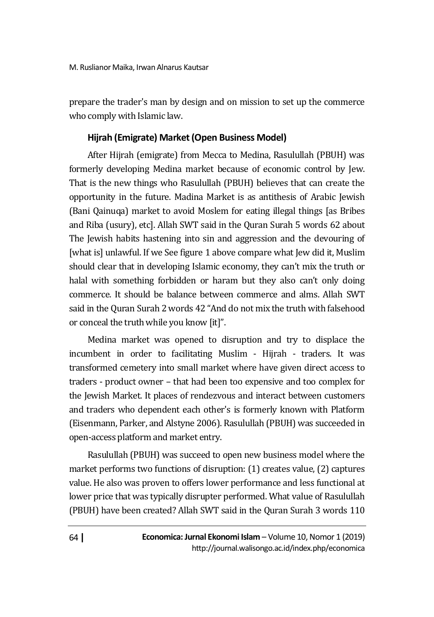prepare the trader's man by design and on mission to set up the commerce who comply with Islamic law.

# **Hijrah (Emigrate) Market (Open Business Model)**

After Hijrah (emigrate) from Mecca to Medina, Rasulullah (PBUH) was formerly developing Medina market because of economic control by Jew. That is the new things who Rasulullah (PBUH) believes that can create the opportunity in the future. Madina Market is as antithesis of Arabic Jewish (Bani Qainuqa) market to avoid Moslem for eating illegal things [as Bribes and Riba (usury), etc]. Allah SWT said in the Quran Surah 5 words 62 about The Jewish habits hastening into sin and aggression and the devouring of [what is] unlawful. If we See figure 1 above compare what Jew did it, Muslim should clear that in developing Islamic economy, they can't mix the truth or halal with something forbidden or haram but they also can't only doing commerce. It should be balance between commerce and alms. Allah SWT said in the Quran Surah 2 words 42 "And do not mix the truth with falsehood or conceal the truth while you know [it]".

Medina market was opened to disruption and try to displace the incumbent in order to facilitating Muslim - Hijrah - traders. It was transformed cemetery into small market where have given direct access to traders - product owner – that had been too expensive and too complex for the Jewish Market. It places of rendezvous and interact between customers and traders who dependent each other's is formerly known with Platform (Eisenmann, Parker, and Alstyne 2006). Rasulullah (PBUH) was succeeded in open-access platform and market entry.

Rasulullah (PBUH) was succeed to open new business model where the market performs two functions of disruption: (1) creates value, (2) captures value. He also was proven to offers lower performance and less functional at lower price that was typically disrupter performed. What value of Rasulullah (PBUH) have been created? Allah SWT said in the Quran Surah 3 words 110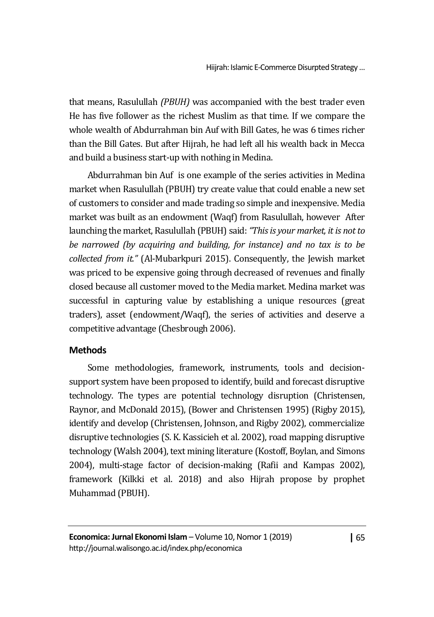that means, Rasulullah *(PBUH)* was accompanied with the best trader even He has five follower as the richest Muslim as that time. If we compare the whole wealth of Abdurrahman bin Auf with Bill Gates, he was 6 times richer than the Bill Gates. But after Hijrah, he had left all his wealth back in Mecca and build a business start-up with nothing in Medina.

Abdurrahman bin Auf is one example of the series activities in Medina market when Rasulullah (PBUH) try create value that could enable a new set of customers to consider and made trading so simple and inexpensive. Media market was built as an endowment (Waqf) from Rasulullah, however After launching the market, Rasulullah (PBUH) said: *"This is your market, it is not to be narrowed (by acquiring and building, for instance) and no tax is to be collected from it."* (Al-Mubarkpuri 2015). Consequently, the Jewish market was priced to be expensive going through decreased of revenues and finally closed because all customer moved to the Media market. Medina market was successful in capturing value by establishing a unique resources (great traders), asset (endowment/Waqf), the series of activities and deserve a competitive advantage (Chesbrough 2006).

# **Methods**

Some methodologies, framework, instruments, tools and decisionsupport system have been proposed to identify, build and forecast disruptive technology. The types are potential technology disruption (Christensen, Raynor, and McDonald 2015), (Bower and Christensen 1995) (Rigby 2015), identify and develop (Christensen, Johnson, and Rigby 2002), commercialize disruptive technologies (S. K. Kassicieh et al. 2002), road mapping disruptive technology (Walsh 2004), text mining literature (Kostoff, Boylan, and Simons 2004), multi-stage factor of decision-making (Rafii and Kampas 2002), framework (Kilkki et al. 2018) and also Hijrah propose by prophet Muhammad (PBUH).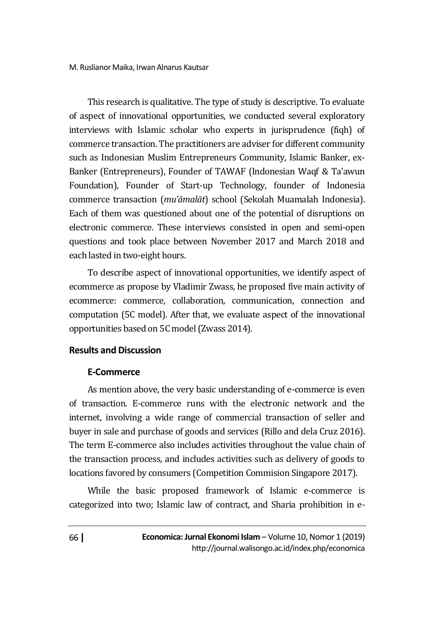This research is qualitative. The type of study is descriptive. To evaluate of aspect of innovational opportunities, we conducted several exploratory interviews with Islamic scholar who experts in jurisprudence (fiqh) of commerce transaction. The practitioners are adviser for different community such as Indonesian Muslim Entrepreneurs Community, Islamic Banker, ex-Banker (Entrepreneurs), Founder of TAWAF (Indonesian Waqf & Ta'awun Foundation), Founder of Start-up Technology, founder of Indonesia commerce transaction (*mu'āmalāt*) school (Sekolah Muamalah Indonesia). Each of them was questioned about one of the potential of disruptions on electronic commerce. These interviews consisted in open and semi-open questions and took place between November 2017 and March 2018 and each lasted in two-eight hours.

To describe aspect of innovational opportunities, we identify aspect of ecommerce as propose by Vladimir Zwass, he proposed five main activity of ecommerce: commerce, collaboration, communication, connection and computation (5C model). After that, we evaluate aspect of the innovational opportunities based on 5C model (Zwass 2014)*.*

# **Results and Discussion**

# **E-Commerce**

As mention above, the very basic understanding of e-commerce is even of transaction. E-commerce runs with the electronic network and the internet, involving a wide range of commercial transaction of seller and buyer in sale and purchase of goods and services (Rillo and dela Cruz 2016). The term E-commerce also includes activities throughout the value chain of the transaction process, and includes activities such as delivery of goods to locations favored by consumers (Competition Commision Singapore 2017).

While the basic proposed framework of Islamic e-commerce is categorized into two; Islamic law of contract, and Sharia prohibition in e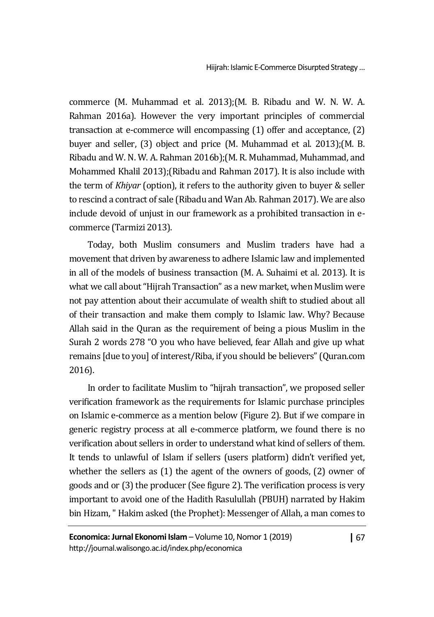Hiijrah: Islamic E-Commerce Disurpted Strategy…

commerce (M. Muhammad et al. 2013);(M. B. Ribadu and W. N. W. A. Rahman 2016a). However the very important principles of commercial transaction at e-commerce will encompassing (1) offer and acceptance, (2) buyer and seller, (3) object and price (M. Muhammad et al. 2013);(M. B. Ribadu and W. N. W. A. Rahman 2016b);(M. R. Muhammad, Muhammad, and Mohammed Khalil 2013);(Ribadu and Rahman 2017). It is also include with the term of *Khiyar* (option), it refers to the authority given to buyer & seller to rescind a contract of sale (Ribadu and Wan Ab. Rahman 2017). We are also include devoid of unjust in our framework as a prohibited transaction in ecommerce (Tarmizi 2013).

Today, both Muslim consumers and Muslim traders have had a movement that driven by awareness to adhere Islamic law and implemented in all of the models of business transaction (M. A. Suhaimi et al. 2013). It is what we call about "Hijrah Transaction" as a new market, when Muslim were not pay attention about their accumulate of wealth shift to studied about all of their transaction and make them comply to Islamic law. Why? Because Allah said in the Quran as the requirement of being a pious Muslim in the Surah 2 words 278 "O you who have believed, fear Allah and give up what remains [due to you] of interest/Riba, if you should be believers" (Quran.com 2016).

In order to facilitate Muslim to "hijrah transaction", we proposed seller verification framework as the requirements for Islamic purchase principles on Islamic e-commerce as a mention below (Figure 2). But if we compare in generic registry process at all e-commerce platform, we found there is no verification about sellers in order to understand what kind of sellers of them. It tends to unlawful of Islam if sellers (users platform) didn't verified yet, whether the sellers as (1) the agent of the owners of goods, (2) owner of goods and or (3) the producer (See figure 2). The verification process is very important to avoid one of the Hadith Rasulullah (PBUH) narrated by Hakim bin Hizam, " Hakim asked (the Prophet): Messenger of Allah, a man comes to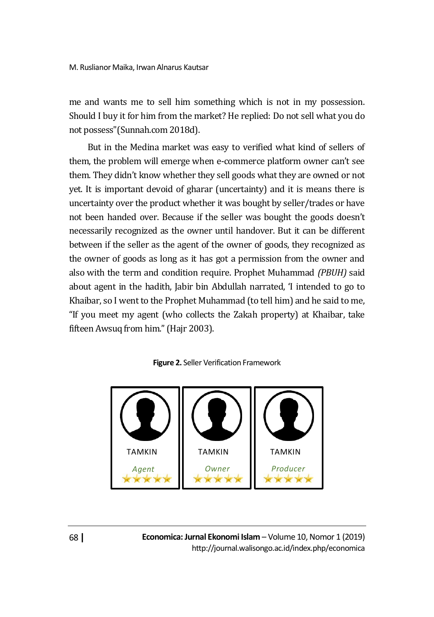me and wants me to sell him something which is not in my possession. Should I buy it for him from the market? He replied: Do not sell what you do not possess"(Sunnah.com 2018d).

But in the Medina market was easy to verified what kind of sellers of them, the problem will emerge when e-commerce platform owner can't see them. They didn't know whether they sell goods what they are owned or not yet. It is important devoid of gharar (uncertainty) and it is means there is uncertainty over the product whether it was bought by seller/trades or have not been handed over. Because if the seller was bought the goods doesn't necessarily recognized as the owner until handover. But it can be different between if the seller as the agent of the owner of goods, they recognized as the owner of goods as long as it has got a permission from the owner and also with the term and condition require. Prophet Muhammad *(PBUH)* said about agent in the hadith, Jabir bin Abdullah narrated, 'I intended to go to Khaibar, so I went to the Prophet Muhammad (to tell him) and he said to me, "If you meet my agent (who collects the Zakah property) at Khaibar, take fifteen Awsuq from him." (Hajr 2003).



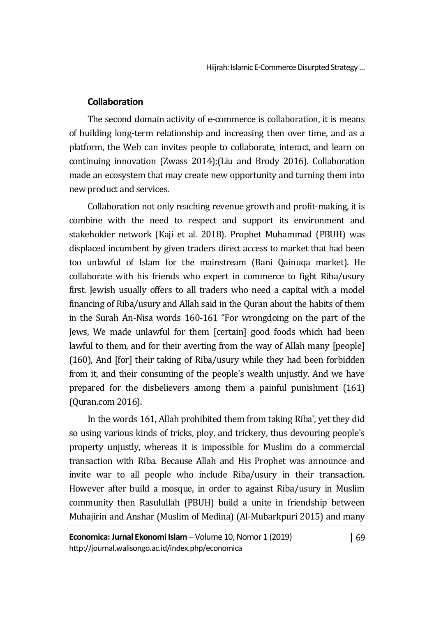### **Collaboration**

The second domain activity of e-commerce is collaboration, it is means of building long-term relationship and increasing then over time, and as a platform, the Web can invites people to collaborate, interact, and learn on continuing innovation (Zwass 2014);(Liu and Brody 2016). Collaboration made an ecosystem that may create new opportunity and turning them into new product and services.

Collaboration not only reaching revenue growth and profit-making, it is combine with the need to respect and support its environment and stakeholder network (Kaji et al. 2018). Prophet Muhammad (PBUH) was displaced incumbent by given traders direct access to market that had been too unlawful of Islam for the mainstream (Bani Qainuqa market). He collaborate with his friends who expert in commerce to fight Riba/usury first. Jewish usually offers to all traders who need a capital with a model financing of Riba/usury and Allah said in the Quran about the habits of them in the Surah An-Nisa words 160-161 "For wrongdoing on the part of the Jews, We made unlawful for them [certain] good foods which had been lawful to them, and for their averting from the way of Allah many [people] (160), And [for] their taking of Riba/usury while they had been forbidden from it, and their consuming of the people's wealth unjustly. And we have prepared for the disbelievers among them a painful punishment (161) (Quran.com 2016).

In the words 161, Allah prohibited them from taking Riba', yet they did so using various kinds of tricks, ploy, and trickery, thus devouring people's property unjustly, whereas it is impossible for Muslim do a commercial transaction with Riba. Because Allah and His Prophet was announce and invite war to all people who include Riba/usury in their transaction. However after build a mosque, in order to against Riba/usury in Muslim community then Rasulullah (PBUH) build a unite in friendship between Muhajirin and Anshar (Muslim of Medina) (Al-Mubarkpuri 2015) and many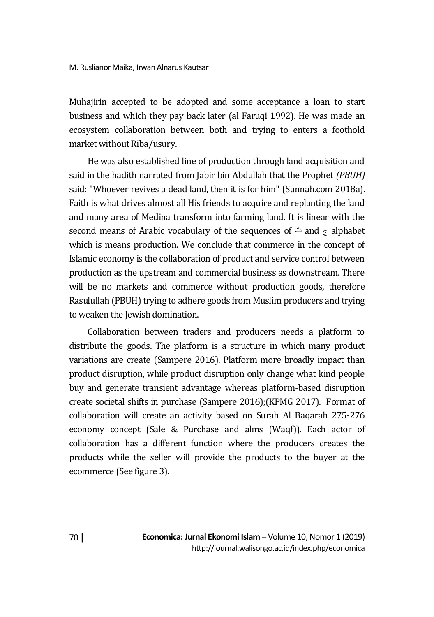Muhajirin accepted to be adopted and some acceptance a loan to start business and which they pay back later (al Faruqi 1992). He was made an ecosystem collaboration between both and trying to enters a foothold market without Riba/usury.

He was also established line of production through land acquisition and said in the hadith narrated from Jabir bin Abdullah that the Prophet *(PBUH)* said: "Whoever revives a dead land, then it is for him" (Sunnah.com 2018a). Faith is what drives almost all His friends to acquire and replanting the land and many area of Medina transform into farming land. It is linear with the second means of Arabic vocabulary of the sequences of  $\div$  and  $\tau$  alphabet which is means production. We conclude that commerce in the concept of Islamic economy is the collaboration of product and service control between production as the upstream and commercial business as downstream. There will be no markets and commerce without production goods, therefore Rasulullah (PBUH) trying to adhere goods from Muslim producers and trying to weaken the Jewish domination.

Collaboration between traders and producers needs a platform to distribute the goods. The platform is a structure in which many product variations are create (Sampere 2016). Platform more broadly impact than product disruption, while product disruption only change what kind people buy and generate transient advantage whereas platform-based disruption create societal shifts in purchase (Sampere 2016);(KPMG 2017). Format of collaboration will create an activity based on Surah Al Baqarah 275-276 economy concept (Sale & Purchase and alms (Waqf)). Each actor of collaboration has a different function where the producers creates the products while the seller will provide the products to the buyer at the ecommerce (See figure 3).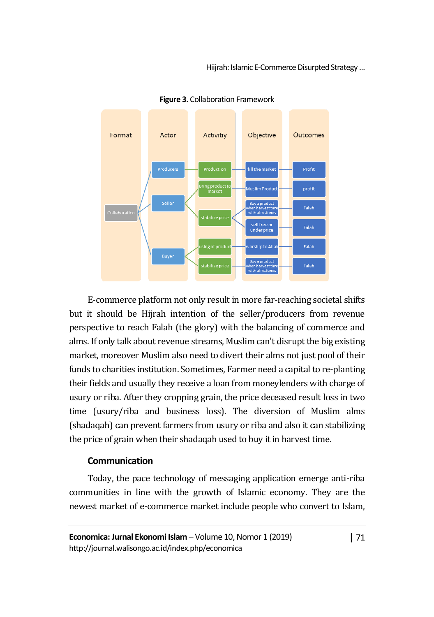Hiijrah: Islamic E-Commerce Disurpted Strategy…



**Figure 3.** Collaboration Framework

E-commerce platform not only result in more far-reaching societal shifts but it should be Hijrah intention of the seller/producers from revenue perspective to reach Falah (the glory) with the balancing of commerce and alms. If only talk about revenue streams, Muslim can't disrupt the big existing market, moreover Muslim also need to divert their alms not just pool of their funds to charities institution. Sometimes, Farmer need a capital to re-planting their fields and usually they receive a loan from moneylenders with charge of usury or riba. After they cropping grain, the price deceased result loss in two time (usury/riba and business loss). The diversion of Muslim alms (shadaqah) can prevent farmers from usury or riba and also it can stabilizing the price of grain when their shadaqah used to buy it in harvest time.

#### **Communication**

Today, the pace technology of messaging application emerge anti-riba communities in line with the growth of Islamic economy. They are the newest market of e-commerce market include people who convert to Islam,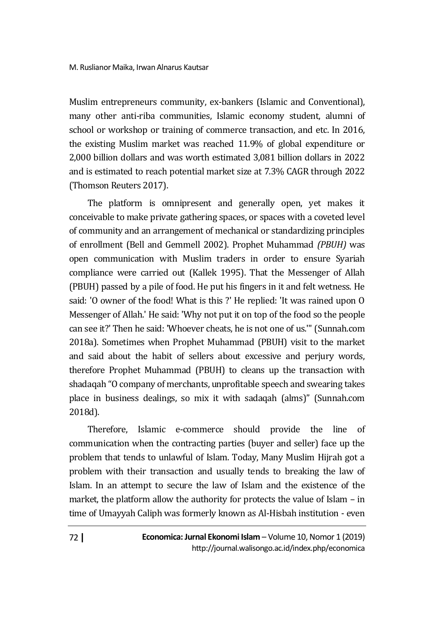Muslim entrepreneurs community, ex-bankers (Islamic and Conventional), many other anti-riba communities, Islamic economy student, alumni of school or workshop or training of commerce transaction, and etc. In 2016, the existing Muslim market was reached 11.9% of global expenditure or 2,000 billion dollars and was worth estimated 3,081 billion dollars in 2022 and is estimated to reach potential market size at 7.3% CAGR through 2022 (Thomson Reuters 2017).

The platform is omnipresent and generally open, yet makes it conceivable to make private gathering spaces, or spaces with a coveted level of community and an arrangement of mechanical or standardizing principles of enrollment (Bell and Gemmell 2002). Prophet Muhammad *(PBUH)* was open communication with Muslim traders in order to ensure Syariah compliance were carried out (Kallek 1995). That the Messenger of Allah (PBUH) passed by a pile of food. He put his fingers in it and felt wetness. He said: 'O owner of the food! What is this ?' He replied: 'It was rained upon O Messenger of Allah.' He said: 'Why not put it on top of the food so the people can see it?' Then he said: 'Whoever cheats, he is not one of us.'" (Sunnah.com 2018a). Sometimes when Prophet Muhammad (PBUH) visit to the market and said about the habit of sellers about excessive and perjury words, therefore Prophet Muhammad (PBUH) to cleans up the transaction with shadaqah "O company of merchants, unprofitable speech and swearing takes place in business dealings, so mix it with sadaqah (alms)" (Sunnah.com 2018d).

Therefore, Islamic e-commerce should provide the line of communication when the contracting parties (buyer and seller) face up the problem that tends to unlawful of Islam. Today, Many Muslim Hijrah got a problem with their transaction and usually tends to breaking the law of Islam. In an attempt to secure the law of Islam and the existence of the market, the platform allow the authority for protects the value of Islam – in time of Umayyah Caliph was formerly known as Al-Hisbah institution - even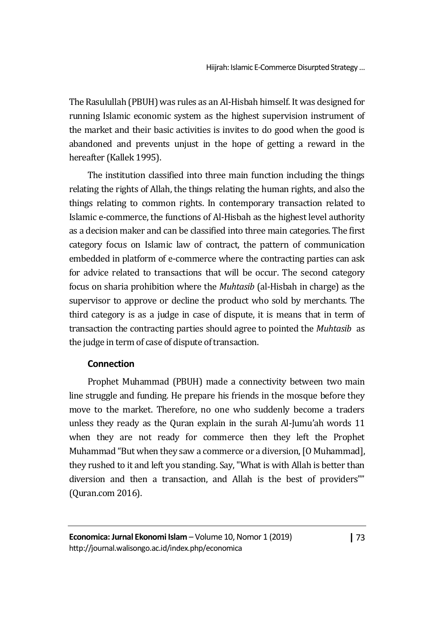The Rasulullah (PBUH) was rules as an Al-Hisbah himself. It was designed for running Islamic economic system as the highest supervision instrument of the market and their basic activities is invites to do good when the good is abandoned and prevents unjust in the hope of getting a reward in the hereafter (Kallek 1995).

The institution classified into three main function including the things relating the rights of Allah, the things relating the human rights, and also the things relating to common rights. In contemporary transaction related to Islamic e-commerce, the functions of Al-Hisbah as the highest level authority as a decision maker and can be classified into three main categories. The first category focus on Islamic law of contract, the pattern of communication embedded in platform of e-commerce where the contracting parties can ask for advice related to transactions that will be occur. The second category focus on sharia prohibition where the *Muhtasib* (al-Hisbah in charge) as the supervisor to approve or decline the product who sold by merchants. The third category is as a judge in case of dispute, it is means that in term of transaction the contracting parties should agree to pointed the *Muhtasib* as the judge in term of case of dispute of transaction.

# **Connection**

Prophet Muhammad (PBUH) made a connectivity between two main line struggle and funding. He prepare his friends in the mosque before they move to the market. Therefore, no one who suddenly become a traders unless they ready as the Quran explain in the surah Al-Jumu'ah words 11 when they are not ready for commerce then they left the Prophet Muhammad "But when they saw a commerce or a diversion, [O Muhammad], they rushed to it and left you standing. Say, "What is with Allah is better than diversion and then a transaction, and Allah is the best of providers"" (Quran.com 2016).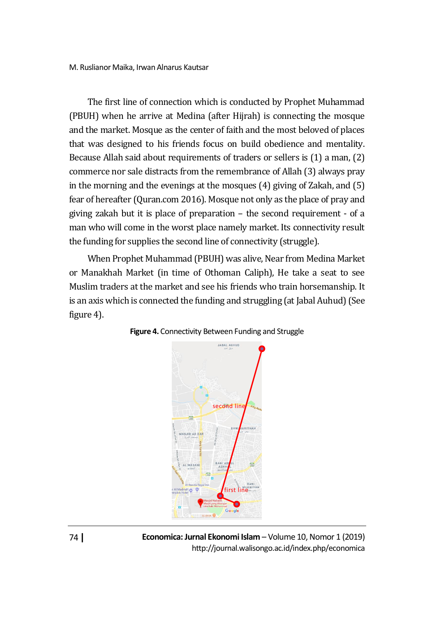The first line of connection which is conducted by Prophet Muhammad (PBUH) when he arrive at Medina (after Hijrah) is connecting the mosque and the market. Mosque as the center of faith and the most beloved of places that was designed to his friends focus on build obedience and mentality. Because Allah said about requirements of traders or sellers is (1) a man, (2) commerce nor sale distracts from the remembrance of Allah (3) always pray in the morning and the evenings at the mosques (4) giving of Zakah, and (5) fear of hereafter (Quran.com 2016). Mosque not only as the place of pray and giving zakah but it is place of preparation – the second requirement - of a man who will come in the worst place namely market. Its connectivity result the funding for supplies the second line of connectivity (struggle).

When Prophet Muhammad (PBUH) was alive, Near from Medina Market or Manakhah Market (in time of Othoman Caliph), He take a seat to see Muslim traders at the market and see his friends who train horsemanship. It is an axis which is connected the funding and struggling (at Jabal Auhud)(See figure 4).





**Economica: Jurnal Ekonomi Islam** – Volume 10, Nomor 1 (2019) http://journal.walisongo.ac.id/index.php/economica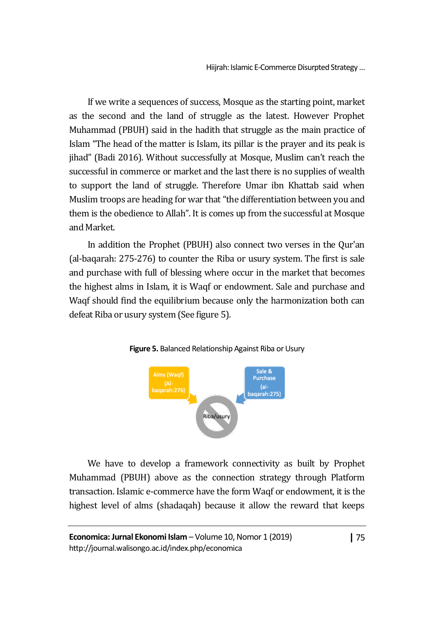If we write a sequences of success, Mosque as the starting point, market as the second and the land of struggle as the latest. However Prophet Muhammad (PBUH) said in the hadith that struggle as the main practice of Islam "The head of the matter is Islam, its pillar is the prayer and its peak is jihad" (Badi 2016). Without successfully at Mosque, Muslim can't reach the successful in commerce or market and the last there is no supplies of wealth to support the land of struggle. Therefore Umar ibn Khattab said when Muslim troops are heading for war that "the differentiation between you and them is the obedience to Allah". It is comes up from the successful at Mosque and Market.

In addition the Prophet (PBUH) also connect two verses in the Qur'an (al-baqarah: 275-276) to counter the Riba or usury system. The first is sale and purchase with full of blessing where occur in the market that becomes the highest alms in Islam, it is Waqf or endowment. Sale and purchase and Waqf should find the equilibrium because only the harmonization both can defeat Riba or usury system (See figure 5).



**Figure 5.** Balanced Relationship Against Riba or Usury

We have to develop a framework connectivity as built by Prophet Muhammad (PBUH) above as the connection strategy through Platform transaction. Islamic e-commerce have the form Waqf or endowment, it is the highest level of alms (shadaqah) because it allow the reward that keeps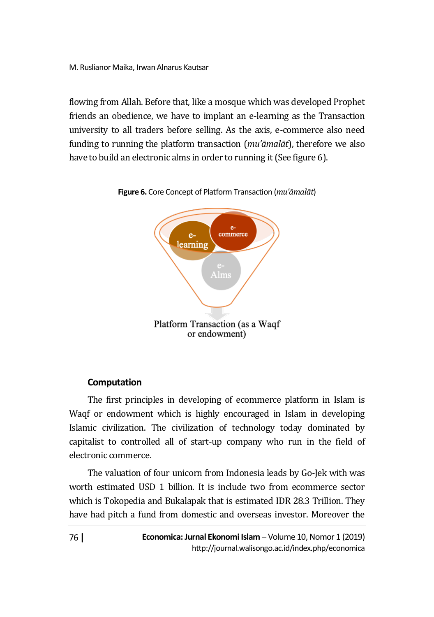flowing from Allah. Before that, like a mosque which was developed Prophet friends an obedience, we have to implant an e-learning as the Transaction university to all traders before selling. As the axis, e-commerce also need funding to running the platform transaction (*mu'āmalāt*), therefore we also have to build an electronic alms in order to running it (See figure 6).





# **Computation**

The first principles in developing of ecommerce platform in Islam is Waqf or endowment which is highly encouraged in Islam in developing Islamic civilization. The civilization of technology today dominated by capitalist to controlled all of start-up company who run in the field of electronic commerce.

The valuation of four unicorn from Indonesia leads by Go-Jek with was worth estimated USD 1 billion. It is include two from ecommerce sector which is Tokopedia and Bukalapak that is estimated IDR 28.3 Trillion. They have had pitch a fund from domestic and overseas investor. Moreover the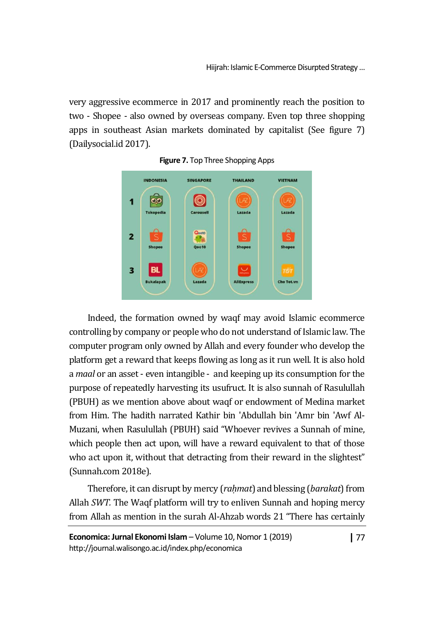very aggressive ecommerce in 2017 and prominently reach the position to two - Shopee - also owned by overseas company. Even top three shopping apps in southeast Asian markets dominated by capitalist (See figure 7) (Dailysocial.id 2017).





Indeed, the formation owned by waqf may avoid Islamic ecommerce controlling by company or people who do not understand of Islamic law. The computer program only owned by Allah and every founder who develop the platform get a reward that keeps flowing as long as it run well. It is also hold a *maal* or an asset - even intangible - and keeping up its consumption for the purpose of repeatedly harvesting its usufruct. It is also sunnah of Rasulullah (PBUH) as we mention above about waqf or endowment of Medina market from Him. The hadith narrated Kathir bin 'Abdullah bin 'Amr bin 'Awf Al-Muzani, when Rasulullah (PBUH) said "Whoever revives a Sunnah of mine, which people then act upon, will have a reward equivalent to that of those who act upon it, without that detracting from their reward in the slightest" (Sunnah.com 2018e).

Therefore, it can disrupt by mercy (*raḥmat*) and blessing (*barakat*) from Allah *SWT.* The Waqf platform will try to enliven Sunnah and hoping mercy from Allah as mention in the surah Al-Ahzab words 21 "There has certainly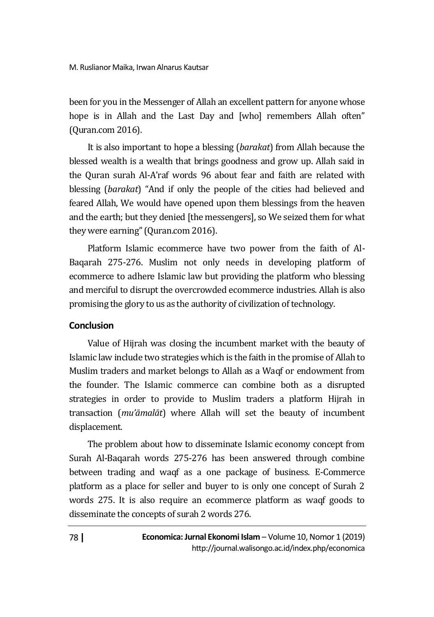been for you in the Messenger of Allah an excellent pattern for anyone whose hope is in Allah and the Last Day and [who] remembers Allah often" (Quran.com 2016).

It is also important to hope a blessing (*barakat*) from Allah because the blessed wealth is a wealth that brings goodness and grow up. Allah said in the Quran surah Al-A'raf words 96 about fear and faith are related with blessing (*barakat*) "And if only the people of the cities had believed and feared Allah, We would have opened upon them blessings from the heaven and the earth; but they denied [the messengers], so We seized them for what they were earning" (Quran.com 2016).

Platform Islamic ecommerce have two power from the faith of Al-Baqarah 275-276. Muslim not only needs in developing platform of ecommerce to adhere Islamic law but providing the platform who blessing and merciful to disrupt the overcrowded ecommerce industries. Allah is also promising the glory to us as the authority of civilization of technology.

### **Conclusion**

Value of Hijrah was closing the incumbent market with the beauty of Islamic law include two strategies which is the faith in the promise of Allah to Muslim traders and market belongs to Allah as a Waqf or endowment from the founder. The Islamic commerce can combine both as a disrupted strategies in order to provide to Muslim traders a platform Hijrah in transaction (*mu'āmalāt*) where Allah will set the beauty of incumbent displacement.

The problem about how to disseminate Islamic economy concept from Surah Al-Baqarah words 275-276 has been answered through combine between trading and waqf as a one package of business. E-Commerce platform as a place for seller and buyer to is only one concept of Surah 2 words 275. It is also require an ecommerce platform as waqf goods to disseminate the concepts of surah 2 words 276.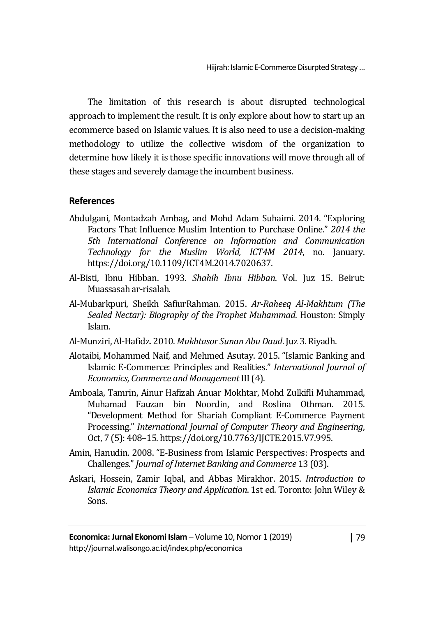The limitation of this research is about disrupted technological approach to implement the result. It is only explore about how to start up an ecommerce based on Islamic values. It is also need to use a decision-making methodology to utilize the collective wisdom of the organization to determine how likely it is those specific innovations will move through all of these stages and severely damage the incumbent business.

# **References**

- Abdulgani, Montadzah Ambag, and Mohd Adam Suhaimi. 2014. "Exploring Factors That Influence Muslim Intention to Purchase Online." *2014 the 5th International Conference on Information and Communication Technology for the Muslim World, ICT4M 2014*, no. January. https://doi.org/10.1109/ICT4M.2014.7020637.
- Al-Bisti, Ibnu Hibban. 1993. *Shahih Ibnu Hibban*. Vol. Juz 15. Beirut: Muassasah ar-risalah.
- Al-Mubarkpuri, Sheikh SafiurRahman. 2015. *Ar-Raheeq Al-Makhtum (The Sealed Nectar): Biography of the Prophet Muhammad*. Houston: Simply Islam.
- Al-Munziri, Al-Hafidz. 2010. *Mukhtasor Sunan Abu Daud*. Juz 3. Riyadh.
- Alotaibi, Mohammed Naif, and Mehmed Asutay. 2015. "Islamic Banking and Islamic E-Commerce: Principles and Realities." *International Journal of Economics, Commerce and Management*III (4).
- Amboala, Tamrin, Ainur Hafizah Anuar Mokhtar, Mohd Zulkifli Muhammad, Muhamad Fauzan bin Noordin, and Roslina Othman. 2015. "Development Method for Shariah Compliant E-Commerce Payment Processing." *International Journal of Computer Theory and Engineering*, Oct, 7 (5): 408–15. https://doi.org/10.7763/IJCTE.2015.V7.995.
- Amin, Hanudin. 2008. "E-Business from Islamic Perspectives: Prospects and Challenges." *Journal of Internet Banking and Commerce* 13 (03).
- Askari, Hossein, Zamir Iqbal, and Abbas Mirakhor. 2015. *Introduction to Islamic Economics Theory and Application*. 1st ed. Toronto: John Wiley & Sons.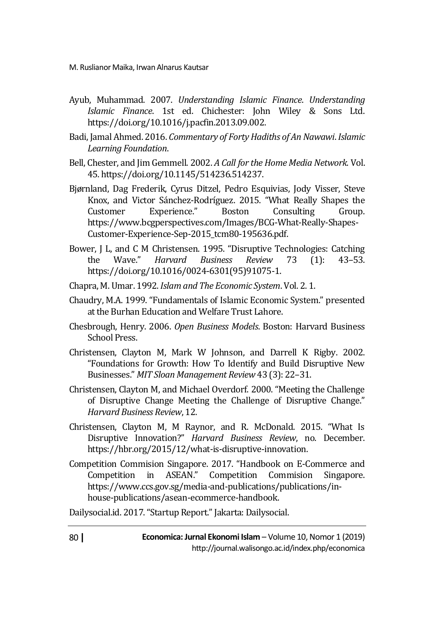- Ayub, Muhammad. 2007. *Understanding Islamic Finance*. *Understanding Islamic Finance*. 1st ed. Chichester: John Wiley & Sons Ltd. https://doi.org/10.1016/j.pacfin.2013.09.002.
- Badi, Jamal Ahmed. 2016. *Commentary of Forty Hadiths of An Nawawi*. *Islamic Learning Foundation*.
- Bell, Chester, and Jim Gemmell. 2002. *A Call for the Home Media Network*. Vol. 45. https://doi.org/10.1145/514236.514237.
- Bjørnland, Dag Frederik, Cyrus Ditzel, Pedro Esquivias, Jody Visser, Steve Knox, and Victor Sánchez-Rodríguez. 2015. "What Really Shapes the Customer Experience." Boston Consulting Group. https://www.bcgperspectives.com/Images/BCG-What-Really-Shapes-Customer-Experience-Sep-2015\_tcm80-195636.pdf.
- Bower, J L, and C M Christensen. 1995. "Disruptive Technologies: Catching the Wave." *Harvard Business Review* 73 (1): 43–53. https://doi.org/10.1016/0024-6301(95)91075-1.
- Chapra, M. Umar. 1992. *Islam and The Economic System*. Vol. 2. 1.
- Chaudry, M.A. 1999. "Fundamentals of Islamic Economic System." presented at the Burhan Education and Welfare Trust Lahore.
- Chesbrough, Henry. 2006. *Open Business Models*. Boston: Harvard Business School Press.
- Christensen, Clayton M, Mark W Johnson, and Darrell K Rigby. 2002. "Foundations for Growth: How To Identify and Build Disruptive New Businesses." *MIT Sloan Management Review* 43 (3): 22–31.
- Christensen, Clayton M, and Michael Overdorf. 2000. "Meeting the Challenge of Disruptive Change Meeting the Challenge of Disruptive Change." *Harvard Business Review*, 12.
- Christensen, Clayton M, M Raynor, and R. McDonald. 2015. "What Is Disruptive Innovation?" *Harvard Business Review*, no. December. https://hbr.org/2015/12/what-is-disruptive-innovation.
- Competition Commision Singapore. 2017. "Handbook on E-Commerce and Competition in ASEAN." Competition Commision Singapore. https://www.ccs.gov.sg/media-and-publications/publications/inhouse-publications/asean-ecommerce-handbook.

Dailysocial.id. 2017. "Startup Report." Jakarta: Dailysocial.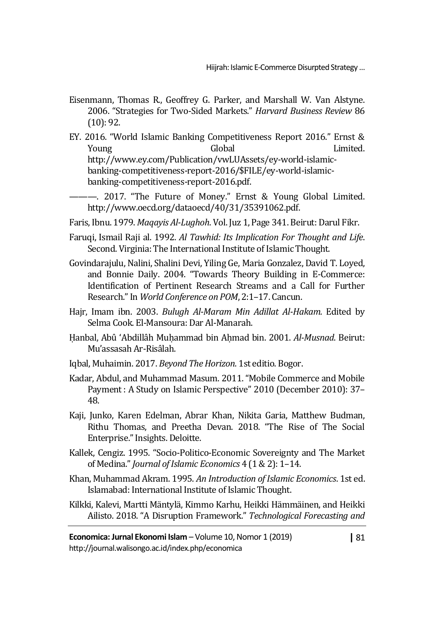- Eisenmann, Thomas R., Geoffrey G. Parker, and Marshall W. Van Alstyne. 2006. "Strategies for Two-Sided Markets." *Harvard Business Review* 86 (10): 92.
- EY. 2016. "World Islamic Banking Competitiveness Report 2016." Ernst & Young Global Limited. http://www.ey.com/Publication/vwLUAssets/ey-world-islamicbanking-competitiveness-report-2016/\$FILE/ey-world-islamicbanking-competitiveness-report-2016.pdf.

———. 2017. "The Future of Money." Ernst & Young Global Limited. http://www.oecd.org/dataoecd/40/31/35391062.pdf.

Faris, Ibnu. 1979. *Maqayis Al-Lughoh*. Vol. Juz 1, Page 341. Beirut: Darul Fikr.

- Faruqi, Ismail Raji al. 1992. *Al Tawhid: Its Implication For Thought and Life*. Second. Virginia: The International Institute of Islamic Thought.
- Govindarajulu, Nalini, Shalini Devi, Yiling Ge, Maria Gonzalez, David T. Loyed, and Bonnie Daily. 2004. "Towards Theory Building in E-Commerce: Identification of Pertinent Research Streams and a Call for Further Research." In *World Conference on POM*, 2:1–17. Cancun.
- Hajr, Imam ibn. 2003. *Bulugh Al-Maram Min Adillat Al-Hakam*. Edited by Selma Cook. El-Mansoura: Dar Al-Manarah.
- Ḥanbal, Abû 'Abdillâh Muḥammad bin Aḥmad bin. 2001. *Al-Musnad*. Beirut: Mu'assasah Ar-Risâlah.
- Iqbal, Muhaimin. 2017. *Beyond The Horizon*. 1st editio. Bogor.
- Kadar, Abdul, and Muhammad Masum. 2011. "Mobile Commerce and Mobile Payment : A Study on Islamic Perspective" 2010 (December 2010): 37– 48.
- Kaji, Junko, Karen Edelman, Abrar Khan, Nikita Garia, Matthew Budman, Rithu Thomas, and Preetha Devan. 2018. "The Rise of The Social Enterprise." Insights. Deloitte.
- Kallek, Cengiz. 1995. "Socio-Politico-Economic Sovereignty and The Market of Medina." *Journal of Islamic Economics* 4 (1 & 2): 1–14.
- Khan, Muhammad Akram. 1995. *An Introduction of Islamic Economics*. 1st ed. Islamabad: International Institute of Islamic Thought.
- Kilkki, Kalevi, Martti Mäntylä, Kimmo Karhu, Heikki Hämmäinen, and Heikki Ailisto. 2018. "A Disruption Framework." *Technological Forecasting and*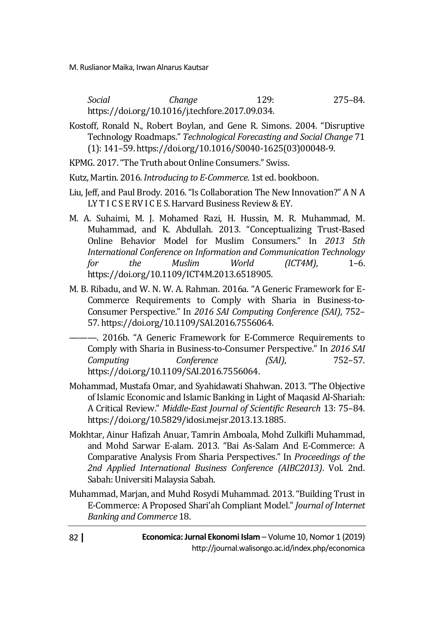*Social Change* 129: 275–84. https://doi.org/10.1016/j.techfore.2017.09.034.

Kostoff, Ronald N., Robert Boylan, and Gene R. Simons. 2004. "Disruptive Technology Roadmaps." *Technological Forecasting and Social Change* 71 (1): 141–59. https://doi.org/10.1016/S0040-1625(03)00048-9.

KPMG. 2017. "The Truth about Online Consumers." Swiss.

Kutz, Martin. 2016. *Introducing to E-Commerce*. 1st ed. bookboon.

- Liu, Jeff, and Paul Brody. 2016. "Is Collaboration The New Innovation?" A N A LY T I C S E RV I C E S. Harvard Business Review & EY.
- M. A. Suhaimi, M. J. Mohamed Razi, H. Hussin, M. R. Muhammad, M. Muhammad, and K. Abdullah. 2013. "Conceptualizing Trust-Based Online Behavior Model for Muslim Consumers." In *2013 5th International Conference on Information and Communication Technology for the Muslim World (ICT4M)*, 1–6. https://doi.org/10.1109/ICT4M.2013.6518905.
- M. B. Ribadu, and W. N. W. A. Rahman. 2016a. "A Generic Framework for E-Commerce Requirements to Comply with Sharia in Business-to-Consumer Perspective." In *2016 SAI Computing Conference (SAI)*, 752– 57. https://doi.org/10.1109/SAI.2016.7556064.
- ———. 2016b. "A Generic Framework for E-Commerce Requirements to Comply with Sharia in Business-to-Consumer Perspective." In *2016 SAI Computing Conference (SAI)*, 752–57. https://doi.org/10.1109/SAI.2016.7556064.
- Mohammad, Mustafa Omar, and Syahidawati Shahwan. 2013. "The Objective of Islamic Economic and Islamic Banking in Light of Maqasid Al-Shariah: A Critical Review." *Middle-East Journal of Scientific Research* 13: 75–84. https://doi.org/10.5829/idosi.mejsr.2013.13.1885.
- Mokhtar, Ainur Hafizah Anuar, Tamrin Amboala, Mohd Zulkifli Muhammad, and Mohd Sarwar E-alam. 2013. "Bai As-Salam And E-Commerce: A Comparative Analysis From Sharia Perspectives." In *Proceedings of the 2nd Applied International Business Conference (AIBC2013)*. Vol. 2nd. Sabah: Universiti Malaysia Sabah.
- Muhammad, Marjan, and Muhd Rosydi Muhammad. 2013. "Building Trust in E-Commerce: A Proposed Shari'ah Compliant Model." *Journal of Internet Banking and Commerce* 18.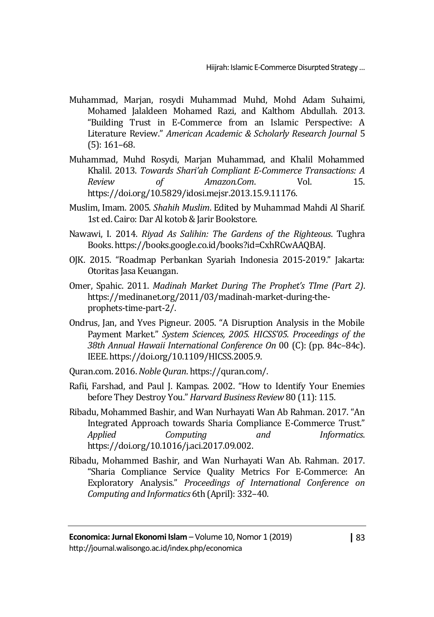- Muhammad, Marjan, rosydi Muhammad Muhd, Mohd Adam Suhaimi, Mohamed Jalaldeen Mohamed Razi, and Kalthom Abdullah. 2013. "Building Trust in E-Commerce from an Islamic Perspective: A Literature Review." *American Academic & Scholarly Research Journal* 5 (5): 161–68.
- Muhammad, Muhd Rosydi, Marjan Muhammad, and Khalil Mohammed Khalil. 2013. *Towards Shari'ah Compliant E-Commerce Transactions: A Review of Amazon.Com*. Vol. 15. https://doi.org/10.5829/idosi.mejsr.2013.15.9.11176.
- Muslim, Imam. 2005. *Shahih Muslim*. Edited by Muhammad Mahdi Al Sharif. 1st ed. Cairo: Dar Al kotob & Jarir Bookstore.
- Nawawi, I. 2014. *Riyad As Salihin: The Gardens of the Righteous*. Tughra Books. https://books.google.co.id/books?id=CxhRCwAAQBAJ.
- OJK. 2015. "Roadmap Perbankan Syariah Indonesia 2015-2019." Jakarta: Otoritas Jasa Keuangan.
- Omer, Spahic. 2011. *Madinah Market During The Prophet's TIme (Part 2)*. https://medinanet.org/2011/03/madinah-market-during-theprophets-time-part-2/.
- Ondrus, Jan, and Yves Pigneur. 2005. "A Disruption Analysis in the Mobile Payment Market." *System Sciences, 2005. HICSS'05. Proceedings of the 38th Annual Hawaii International Conference On* 00 (C): (pp. 84c–84c). IEEE. https://doi.org/10.1109/HICSS.2005.9.
- Quran.com. 2016. *Noble Quran*. https://quran.com/.
- Rafii, Farshad, and Paul J. Kampas. 2002. "How to Identify Your Enemies before They Destroy You." *Harvard Business Review* 80 (11): 115.
- Ribadu, Mohammed Bashir, and Wan Nurhayati Wan Ab Rahman. 2017. "An Integrated Approach towards Sharia Compliance E-Commerce Trust." *Applied Computing and Informatics*. https://doi.org/10.1016/j.aci.2017.09.002.
- Ribadu, Mohammed Bashir, and Wan Nurhayati Wan Ab. Rahman. 2017. "Sharia Compliance Service Quality Metrics For E-Commerce: An Exploratory Analysis." *Proceedings of International Conference on Computing and Informatics* 6th (April): 332–40.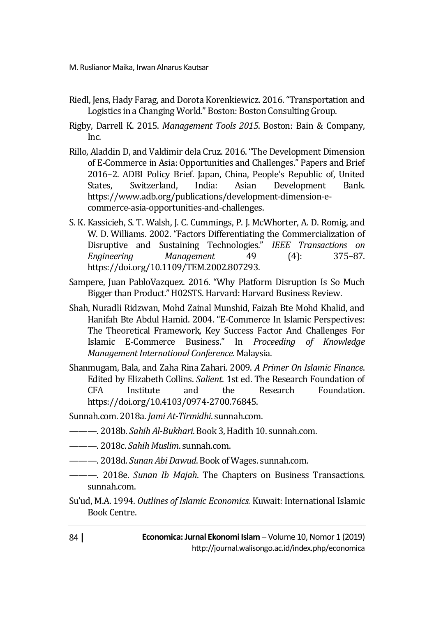- Riedl, Jens, Hady Farag, and Dorota Korenkiewicz. 2016. "Transportation and Logistics in a Changing World." Boston: Boston Consulting Group.
- Rigby, Darrell K. 2015. *Management Tools 2015*. Boston: Bain & Company, Inc.
- Rillo, Aladdin D, and Valdimir dela Cruz. 2016. "The Development Dimension of E-Commerce in Asia: Opportunities and Challenges." Papers and Brief 2016–2. ADBI Policy Brief. Japan, China, People's Republic of, United States, Switzerland, India: Asian Development Bank. https://www.adb.org/publications/development-dimension-ecommerce-asia-opportunities-and-challenges.
- S. K. Kassicieh, S. T. Walsh, J. C. Cummings, P. J. McWhorter, A. D. Romig, and W. D. Williams. 2002. "Factors Differentiating the Commercialization of Disruptive and Sustaining Technologies." *IEEE Transactions on Engineering Management* 49 (4): 375–87. https://doi.org/10.1109/TEM.2002.807293.
- Sampere, Juan PabloVazquez. 2016. "Why Platform Disruption Is So Much Bigger than Product." H02STS. Harvard: Harvard Business Review.
- Shah, Nuradli Ridzwan, Mohd Zainal Munshid, Faizah Bte Mohd Khalid, and Hanifah Bte Abdul Hamid. 2004. "E-Commerce In Islamic Perspectives: The Theoretical Framework, Key Success Factor And Challenges For Islamic E-Commerce Business." In *Proceeding of Knowledge Management International Conference*. Malaysia.
- Shanmugam, Bala, and Zaha Rina Zahari. 2009. *A Primer On Islamic Finance*. Edited by Elizabeth Collins. *Salient*. 1st ed. The Research Foundation of CFA Institute and the Research Foundation. https://doi.org/10.4103/0974-2700.76845.
- Sunnah.com. 2018a. *Jami At-Tirmidhi*. sunnah.com.
- ———. 2018b. *Sahih Al-Bukhari*. Book 3, Hadith 10. sunnah.com.
- ———. 2018c. *Sahih Muslim*. sunnah.com.
- ———. 2018d. *Sunan Abi Dawud*. Book of Wages. sunnah.com.
- ———. 2018e. *Sunan Ib Majah*. The Chapters on Business Transactions. sunnah.com.
- Su'ud, M.A. 1994. *Outlines of Islamic Economics.* Kuwait: International Islamic Book Centre.